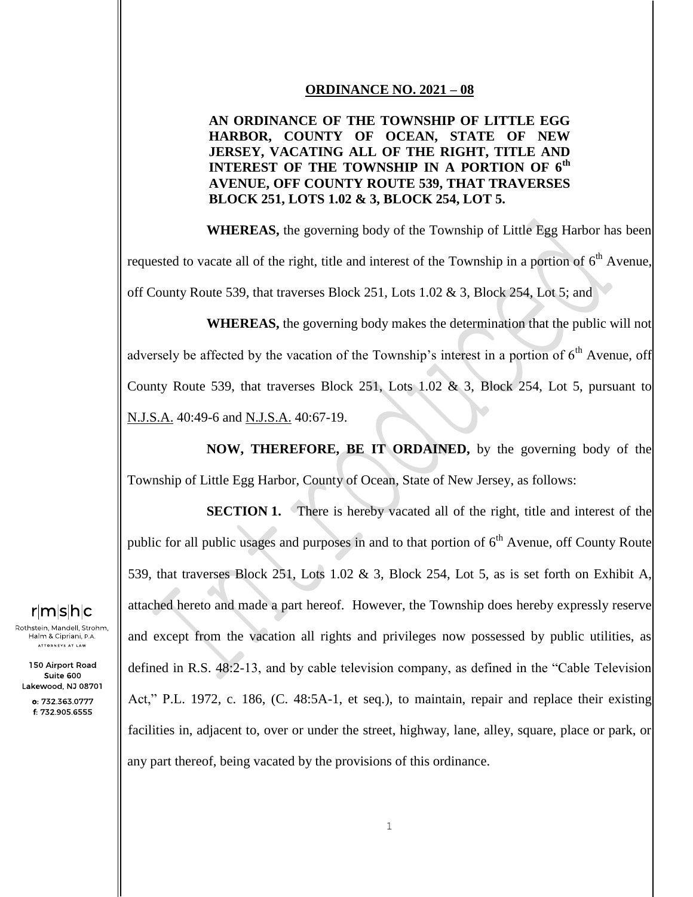#### **ORDINANCE NO. 2021 – 08**

### **AN ORDINANCE OF THE TOWNSHIP OF LITTLE EGG HARBOR, COUNTY OF OCEAN, STATE OF NEW JERSEY, VACATING ALL OF THE RIGHT, TITLE AND INTEREST OF THE TOWNSHIP IN A PORTION OF 6th AVENUE, OFF COUNTY ROUTE 539, THAT TRAVERSES BLOCK 251, LOTS 1.02 & 3, BLOCK 254, LOT 5.**

**WHEREAS,** the governing body of the Township of Little Egg Harbor has been requested to vacate all of the right, title and interest of the Township in a portion of  $6<sup>th</sup>$  Avenue, off County Route 539, that traverses Block 251, Lots 1.02 & 3, Block 254, Lot 5; and

**WHEREAS,** the governing body makes the determination that the public will not adversely be affected by the vacation of the Township's interest in a portion of  $6<sup>th</sup>$  Avenue, off County Route 539, that traverses Block 251, Lots 1.02 & 3, Block 254, Lot 5, pursuant to N.J.S.A. 40:49-6 and N.J.S.A. 40:67-19.

**NOW, THEREFORE, BE IT ORDAINED,** by the governing body of the Township of Little Egg Harbor, County of Ocean, State of New Jersey, as follows:

**SECTION 1.** There is hereby vacated all of the right, title and interest of the public for all public usages and purposes in and to that portion of  $6<sup>th</sup>$  Avenue, off County Route 539, that traverses Block 251, Lots 1.02 & 3, Block 254, Lot 5, as is set forth on Exhibit A, attached hereto and made a part hereof. However, the Township does hereby expressly reserve and except from the vacation all rights and privileges now possessed by public utilities, as defined in R.S. 48:2-13, and by cable television company, as defined in the "Cable Television Act," P.L. 1972, c. 186, (C. 48:5A-1, et seq.), to maintain, repair and replace their existing facilities in, adjacent to, over or under the street, highway, lane, alley, square, place or park, or any part thereof, being vacated by the provisions of this ordinance.

# <u>r</u>mshc

Rothstein, Mandell, Strohm, Halm & Cipriani, P.A. .<br>ATTORNEYS AT LAW

150 Airport Road Suite 600 Lakewood, NJ 08701

> o: 732.363.0777 f: 732.905.6555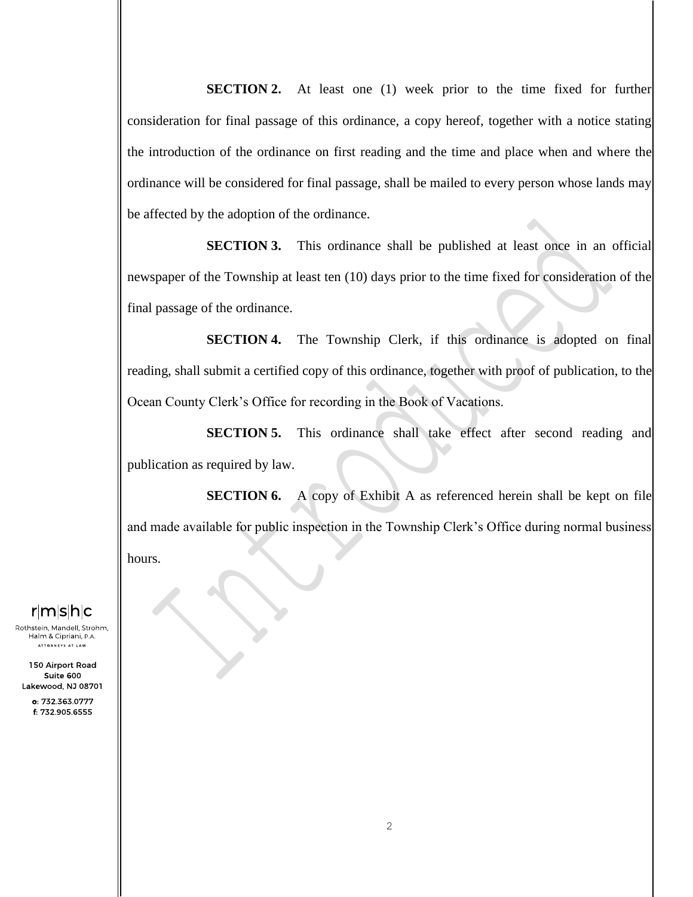**SECTION 2.** At least one (1) week prior to the time fixed for further consideration for final passage of this ordinance, a copy hereof, together with a notice stating the introduction of the ordinance on first reading and the time and place when and where the ordinance will be considered for final passage, shall be mailed to every person whose lands may be affected by the adoption of the ordinance.

**SECTION 3.** This ordinance shall be published at least once in an official newspaper of the Township at least ten (10) days prior to the time fixed for consideration of the final passage of the ordinance.

**SECTION 4.** The Township Clerk, if this ordinance is adopted on final reading, shall submit a certified copy of this ordinance, together with proof of publication, to the Ocean County Clerk's Office for recording in the Book of Vacations.

**SECTION 5.** This ordinance shall take effect after second reading and publication as required by law.

**SECTION 6.** A copy of Exhibit A as referenced herein shall be kept on file and made available for public inspection in the Township Clerk's Office during normal business hours.

# $r|m|s|h|c$

Rothstein, Mandell, Strohm, Halm & Cipriani, P.A. .<br>ATTORNEYS AT LAW

150 Airport Road Suite 600 Lakewood, NJ 08701

> o: 732.363.0777 f: 732.905.6555